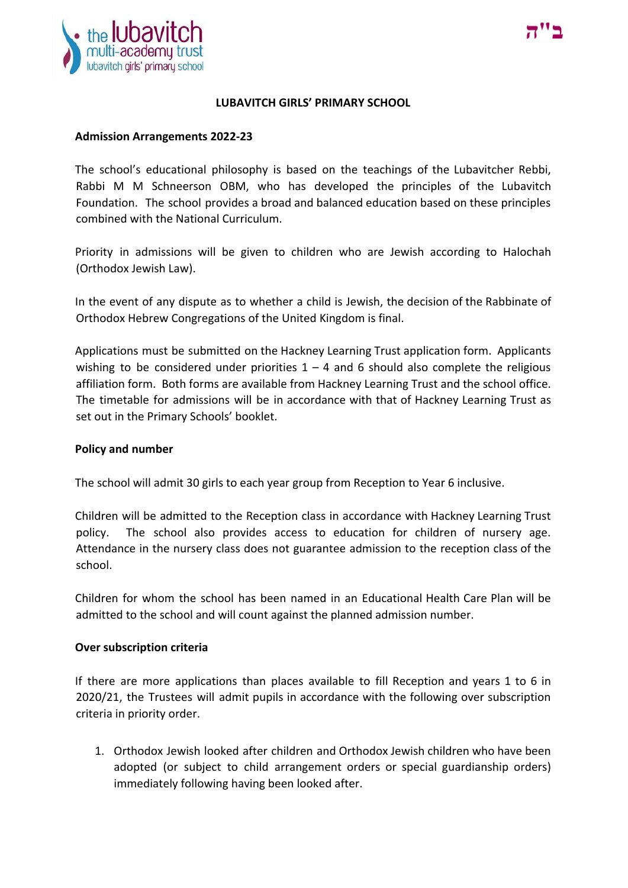



#### **LUBAVITCH GIRLS' PRIMARY SCHOOL**

### **Admission Arrangements 2022-23**

The school's educational philosophy is based on the teachings of the Lubavitcher Rebbi, Rabbi M M Schneerson OBM, who has developed the principles of the Lubavitch Foundation. The school provides a broad and balanced education based on these principles combined with the National Curriculum.

Priority in admissions will be given to children who are Jewish according to Halochah (Orthodox Jewish Law).

In the event of any dispute as to whether a child is Jewish, the decision of the Rabbinate of Orthodox Hebrew Congregations of the United Kingdom is final.

Applications must be submitted on the Hackney Learning Trust application form. Applicants wishing to be considered under priorities  $1 - 4$  and 6 should also complete the religious affiliation form. Both forms are available from Hackney Learning Trust and the school office. The timetable for admissions will be in accordance with that of Hackney Learning Trust as set out in the Primary Schools' booklet.

#### **Policy and number**

The school will admit 30 girls to each year group from Reception to Year 6 inclusive.

Children will be admitted to the Reception class in accordance with Hackney Learning Trust policy. The school also provides access to education for children of nursery age. Attendance in the nursery class does not guarantee admission to the reception class of the school.

Children for whom the school has been named in an Educational Health Care Plan will be admitted to the school and will count against the planned admission number.

#### **Over subscription criteria**

If there are more applications than places available to fill Reception and years 1 to 6 in 2020/21, the Trustees will admit pupils in accordance with the following over subscription criteria in priority order.

1. Orthodox Jewish looked after children and Orthodox Jewish children who have been adopted (or subject to child arrangement orders or special guardianship orders) immediately following having been looked after.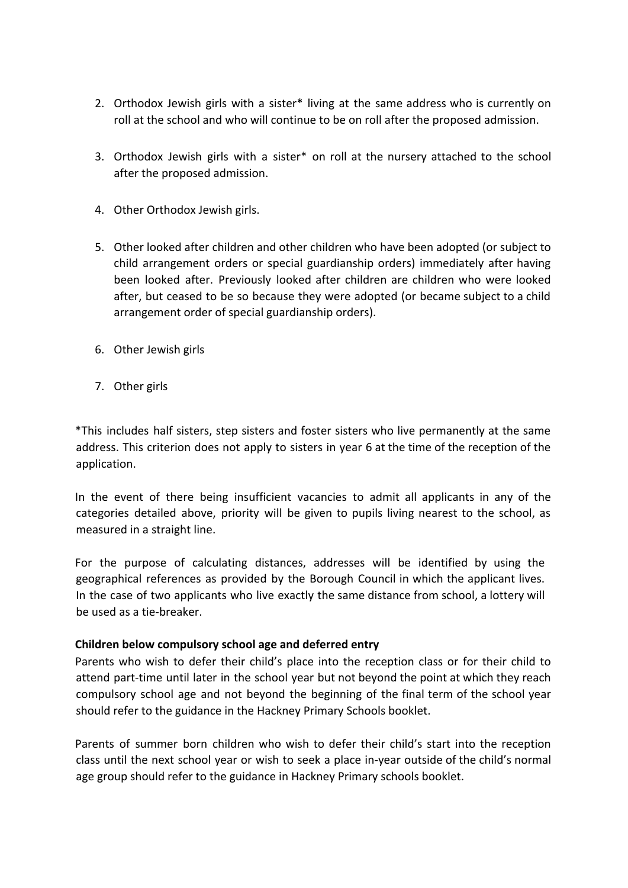- 2. Orthodox Jewish girls with a sister\* living at the same address who is currently on roll at the school and who will continue to be on roll after the proposed admission.
- 3. Orthodox Jewish girls with a sister\* on roll at the nursery attached to the school after the proposed admission.
- 4. Other Orthodox Jewish girls.
- 5. Other looked after children and other children who have been adopted (or subject to child arrangement orders or special guardianship orders) immediately after having been looked after. Previously looked after children are children who were looked after, but ceased to be so because they were adopted (or became subject to a child arrangement order of special guardianship orders).
- 6. Other Jewish girls
- 7. Other girls

\*This includes half sisters, step sisters and foster sisters who live permanently at the same address. This criterion does not apply to sisters in year 6 at the time of the reception of the application.

In the event of there being insufficient vacancies to admit all applicants in any of the categories detailed above, priority will be given to pupils living nearest to the school, as measured in a straight line.

For the purpose of calculating distances, addresses will be identified by using the geographical references as provided by the Borough Council in which the applicant lives. In the case of two applicants who live exactly the same distance from school, a lottery will be used as a tie-breaker.

## **Children below compulsory school age and deferred entry**

Parents who wish to defer their child's place into the reception class or for their child to attend part-time until later in the school year but not beyond the point at which they reach compulsory school age and not beyond the beginning of the final term of the school year should refer to the guidance in the Hackney Primary Schools booklet.

Parents of summer born children who wish to defer their child's start into the reception class until the next school year or wish to seek a place in-year outside of the child's normal age group should refer to the guidance in Hackney Primary schools booklet.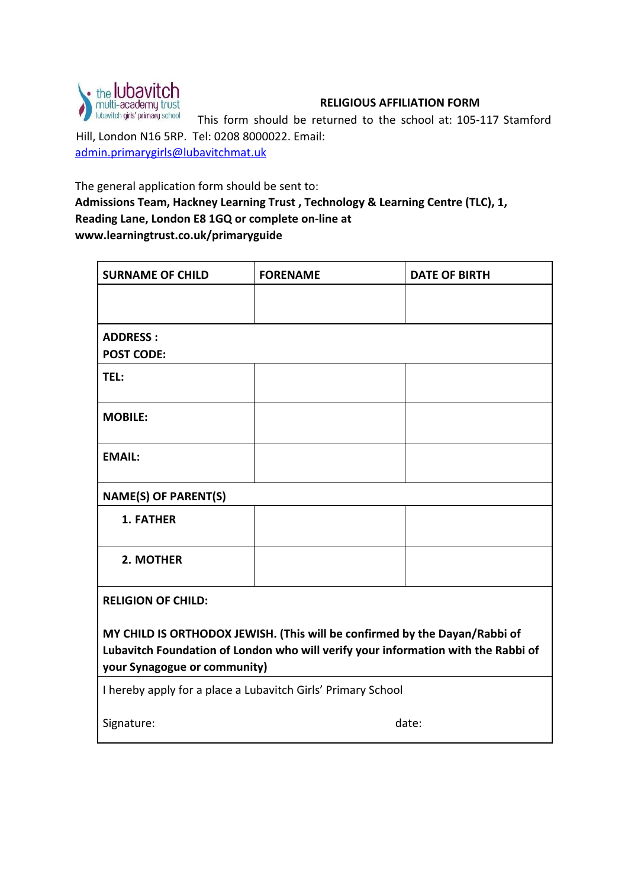

# **RELIGIOUS AFFILIATION FORM**

This form should be returned to the school at: 105-117 Stamford Hill, London N16 5RP. Tel: 0208 8000022. Email: admin.primarygirls@lubavitchmat.uk

The general application form should be sent to:

**Admissions Team, Hackney Learning Trust , Technology & Learning Centre (TLC), 1, Reading Lane, London E8 1GQ or complete on-line at www.learningtrust.co.uk/primaryguide**

| <b>SURNAME OF CHILD</b>                                                                                                                                         | <b>FORENAME</b> | <b>DATE OF BIRTH</b> |
|-----------------------------------------------------------------------------------------------------------------------------------------------------------------|-----------------|----------------------|
|                                                                                                                                                                 |                 |                      |
| <b>ADDRESS:</b><br><b>POST CODE:</b>                                                                                                                            |                 |                      |
| TEL:                                                                                                                                                            |                 |                      |
| <b>MOBILE:</b>                                                                                                                                                  |                 |                      |
| <b>EMAIL:</b>                                                                                                                                                   |                 |                      |
| <b>NAME(S) OF PARENT(S)</b>                                                                                                                                     |                 |                      |
| 1. FATHER                                                                                                                                                       |                 |                      |
| 2. MOTHER                                                                                                                                                       |                 |                      |
| <b>RELIGION OF CHILD:</b>                                                                                                                                       |                 |                      |
| MY CHILD IS ORTHODOX JEWISH. (This will be confirmed by the Dayan/Rabbi of<br>Lubavitch Foundation of London who will verify your information with the Rabbi of |                 |                      |
| your Synagogue or community)                                                                                                                                    |                 |                      |
| I hereby apply for a place a Lubavitch Girls' Primary School                                                                                                    |                 |                      |
| Signature:                                                                                                                                                      | date:           |                      |